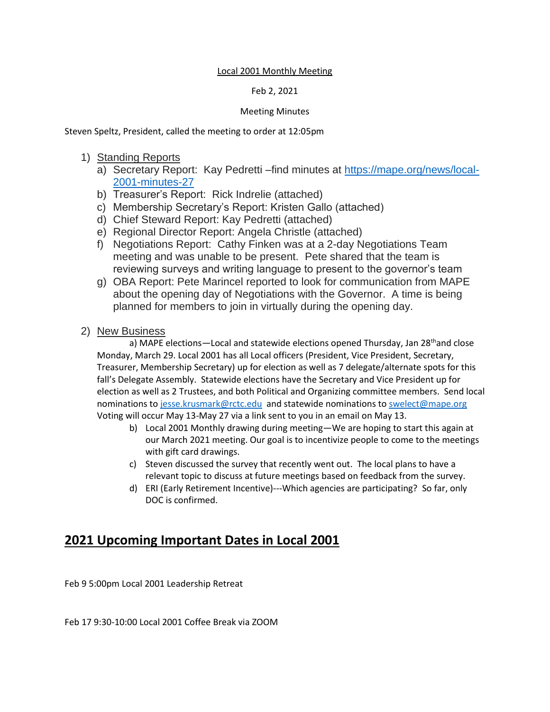#### Local 2001 Monthly Meeting

### Feb 2, 2021

### Meeting Minutes

Steven Speltz, President, called the meeting to order at 12:05pm

### 1) Standing Reports

- a) Secretary Report: Kay Pedretti –find minutes at [https://mape.org/news/local-](https://mape.org/news/local-2001-minutes-27)[2001-minutes-27](https://mape.org/news/local-2001-minutes-27)
- b) Treasurer's Report: Rick Indrelie (attached)
- c) Membership Secretary's Report: Kristen Gallo (attached)
- d) Chief Steward Report: Kay Pedretti (attached)
- e) Regional Director Report: Angela Christle (attached)
- f) Negotiations Report: Cathy Finken was at a 2-day Negotiations Team meeting and was unable to be present. Pete shared that the team is reviewing surveys and writing language to present to the governor's team
- g) OBA Report: Pete Marincel reported to look for communication from MAPE about the opening day of Negotiations with the Governor. A time is being planned for members to join in virtually during the opening day.
- 2) New Business

a) MAPE elections—Local and statewide elections opened Thursday, Jan 28<sup>th</sup>and close Monday, March 29. Local 2001 has all Local officers (President, Vice President, Secretary, Treasurer, Membership Secretary) up for election as well as 7 delegate/alternate spots for this fall's Delegate Assembly. Statewide elections have the Secretary and Vice President up for election as well as 2 Trustees, and both Political and Organizing committee members. Send local nominations t[o jesse.krusmark@rctc.edu](mailto:jesse.krusmark@rctc.edu) and statewide nominations to [swelect@mape.org](mailto:swelect@mape.org)  Voting will occur May 13-May 27 via a link sent to you in an email on May 13.

- b) Local 2001 Monthly drawing during meeting—We are hoping to start this again at our March 2021 meeting. Our goal is to incentivize people to come to the meetings with gift card drawings.
- c) Steven discussed the survey that recently went out. The local plans to have a relevant topic to discuss at future meetings based on feedback from the survey.
- d) ERI (Early Retirement Incentive)---Which agencies are participating? So far, only DOC is confirmed.

## **2021 Upcoming Important Dates in Local 2001**

Feb 9 5:00pm Local 2001 Leadership Retreat

Feb 17 9:30-10:00 Local 2001 Coffee Break via ZOOM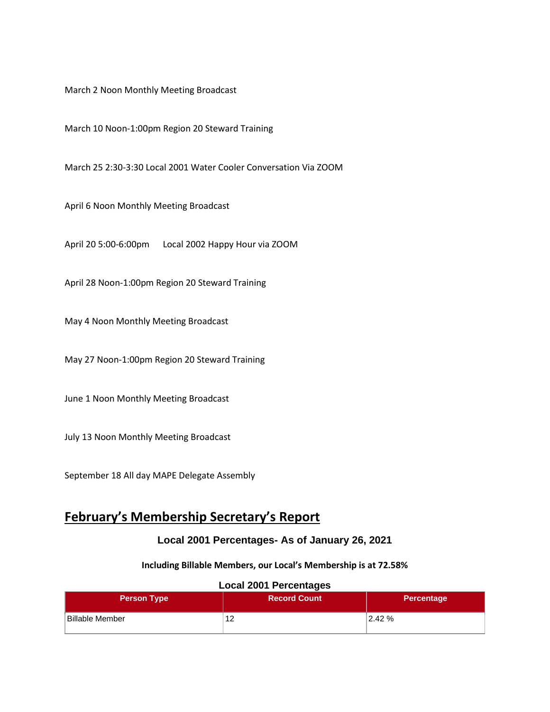March 2 Noon Monthly Meeting Broadcast

March 10 Noon-1:00pm Region 20 Steward Training

March 25 2:30-3:30 Local 2001 Water Cooler Conversation Via ZOOM

April 6 Noon Monthly Meeting Broadcast

April 20 5:00-6:00pm Local 2002 Happy Hour via ZOOM

April 28 Noon-1:00pm Region 20 Steward Training

May 4 Noon Monthly Meeting Broadcast

May 27 Noon-1:00pm Region 20 Steward Training

June 1 Noon Monthly Meeting Broadcast

July 13 Noon Monthly Meeting Broadcast

September 18 All day MAPE Delegate Assembly

## **February's Membership Secretary's Report**

### **Local 2001 Percentages- As of January 26, 2021**

#### **Including Billable Members, our Local's Membership is at 72.58%**

# **Person Type Record Count Person Type Record Count Percentage** Billable Member 2.42 %

#### **Local 2001 Percentages**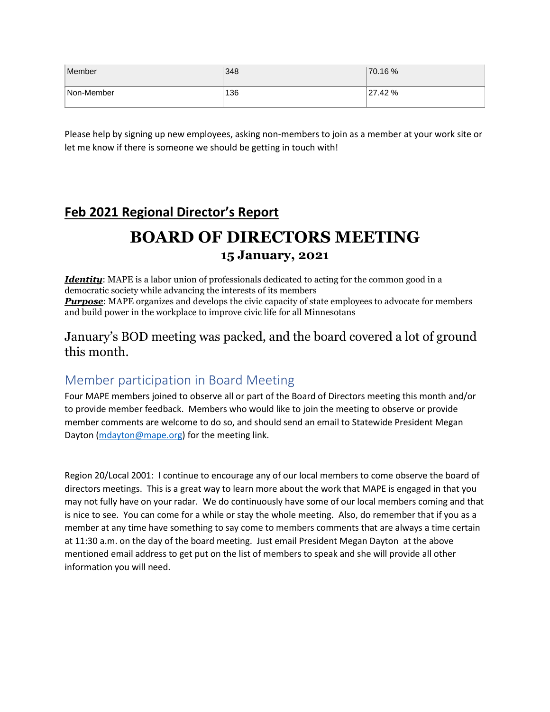| Member     | 348 | 70.16 % |
|------------|-----|---------|
| Non-Member | 136 | 27.42 % |

Please help by signing up new employees, asking non-members to join as a member at your work site or let me know if there is someone we should be getting in touch with!

## **Feb 2021 Regional Director's Report**

## **BOARD OF DIRECTORS MEETING 15 January, 2021**

*Identity*: MAPE is a labor union of professionals dedicated to acting for the common good in a democratic society while advancing the interests of its members **Purpose**: MAPE organizes and develops the civic capacity of state employees to advocate for members and build power in the workplace to improve civic life for all Minnesotans

### January's BOD meeting was packed, and the board covered a lot of ground this month.

## Member participation in Board Meeting

Four MAPE members joined to observe all or part of the Board of Directors meeting this month and/or to provide member feedback. Members who would like to join the meeting to observe or provide member comments are welcome to do so, and should send an email to Statewide President Megan Dayton [\(mdayton@mape.org\)](mailto:mdayton@mape.org) for the meeting link.

Region 20/Local 2001: I continue to encourage any of our local members to come observe the board of directors meetings. This is a great way to learn more about the work that MAPE is engaged in that you may not fully have on your radar. We do continuously have some of our local members coming and that is nice to see. You can come for a while or stay the whole meeting. Also, do remember that if you as a member at any time have something to say come to members comments that are always a time certain at 11:30 a.m. on the day of the board meeting. Just email President Megan Dayton at the above mentioned email address to get put on the list of members to speak and she will provide all other information you will need.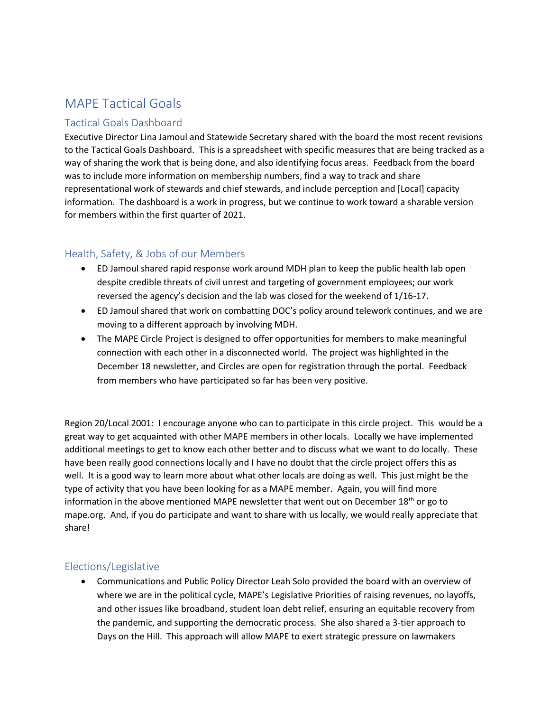## MAPE Tactical Goals

### Tactical Goals Dashboard

Executive Director Lina Jamoul and Statewide Secretary shared with the board the most recent revisions to the Tactical Goals Dashboard. This is a spreadsheet with specific measures that are being tracked as a way of sharing the work that is being done, and also identifying focus areas. Feedback from the board was to include more information on membership numbers, find a way to track and share representational work of stewards and chief stewards, and include perception and [Local] capacity information. The dashboard is a work in progress, but we continue to work toward a sharable version for members within the first quarter of 2021.

### Health, Safety, & Jobs of our Members

- ED Jamoul shared rapid response work around MDH plan to keep the public health lab open despite credible threats of civil unrest and targeting of government employees; our work reversed the agency's decision and the lab was closed for the weekend of 1/16-17.
- ED Jamoul shared that work on combatting DOC's policy around telework continues, and we are moving to a different approach by involving MDH.
- The MAPE Circle Project is designed to offer opportunities for members to make meaningful connection with each other in a disconnected world. The project was highlighted in the December 18 newsletter, and Circles are open for registration through the portal. Feedback from members who have participated so far has been very positive.

Region 20/Local 2001: I encourage anyone who can to participate in this circle project. This would be a great way to get acquainted with other MAPE members in other locals. Locally we have implemented additional meetings to get to know each other better and to discuss what we want to do locally. These have been really good connections locally and I have no doubt that the circle project offers this as well. It is a good way to learn more about what other locals are doing as well. This just might be the type of activity that you have been looking for as a MAPE member. Again, you will find more information in the above mentioned MAPE newsletter that went out on December  $18<sup>th</sup>$  or go to mape.org. And, if you do participate and want to share with us locally, we would really appreciate that share!

### Elections/Legislative

• Communications and Public Policy Director Leah Solo provided the board with an overview of where we are in the political cycle, MAPE's Legislative Priorities of raising revenues, no layoffs, and other issues like broadband, student loan debt relief, ensuring an equitable recovery from the pandemic, and supporting the democratic process. She also shared a 3-tier approach to Days on the Hill. This approach will allow MAPE to exert strategic pressure on lawmakers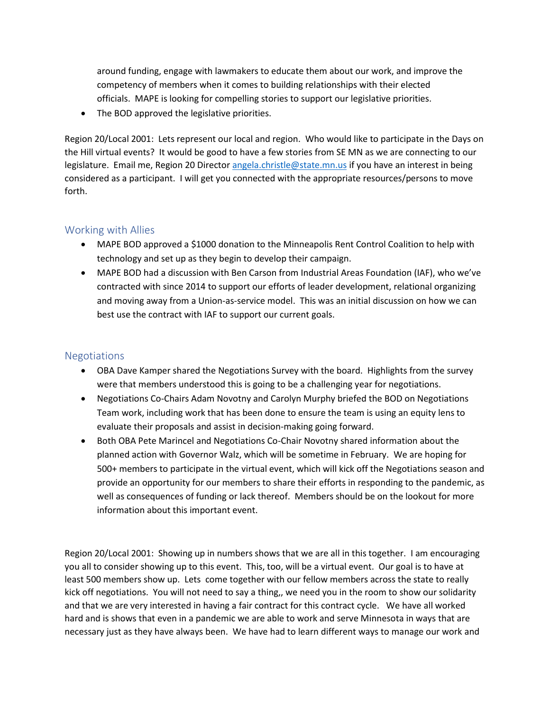around funding, engage with lawmakers to educate them about our work, and improve the competency of members when it comes to building relationships with their elected officials. MAPE is looking for compelling stories to support our legislative priorities.

• The BOD approved the legislative priorities.

Region 20/Local 2001: Lets represent our local and region. Who would like to participate in the Days on the Hill virtual events? It would be good to have a few stories from SE MN as we are connecting to our legislature. Email me, Region 20 Directo[r angela.christle@state.mn.us](mailto:angela.christle@state.mn.us) if you have an interest in being considered as a participant. I will get you connected with the appropriate resources/persons to move forth.

### Working with Allies

- MAPE BOD approved a \$1000 donation to the Minneapolis Rent Control Coalition to help with technology and set up as they begin to develop their campaign.
- MAPE BOD had a discussion with Ben Carson from Industrial Areas Foundation (IAF), who we've contracted with since 2014 to support our efforts of leader development, relational organizing and moving away from a Union-as-service model. This was an initial discussion on how we can best use the contract with IAF to support our current goals.

### Negotiations

- OBA Dave Kamper shared the Negotiations Survey with the board. Highlights from the survey were that members understood this is going to be a challenging year for negotiations.
- Negotiations Co-Chairs Adam Novotny and Carolyn Murphy briefed the BOD on Negotiations Team work, including work that has been done to ensure the team is using an equity lens to evaluate their proposals and assist in decision-making going forward.
- Both OBA Pete Marincel and Negotiations Co-Chair Novotny shared information about the planned action with Governor Walz, which will be sometime in February. We are hoping for 500+ members to participate in the virtual event, which will kick off the Negotiations season and provide an opportunity for our members to share their efforts in responding to the pandemic, as well as consequences of funding or lack thereof. Members should be on the lookout for more information about this important event.

Region 20/Local 2001: Showing up in numbers shows that we are all in this together. I am encouraging you all to consider showing up to this event. This, too, will be a virtual event. Our goal is to have at least 500 members show up. Lets come together with our fellow members across the state to really kick off negotiations. You will not need to say a thing,, we need you in the room to show our solidarity and that we are very interested in having a fair contract for this contract cycle. We have all worked hard and is shows that even in a pandemic we are able to work and serve Minnesota in ways that are necessary just as they have always been. We have had to learn different ways to manage our work and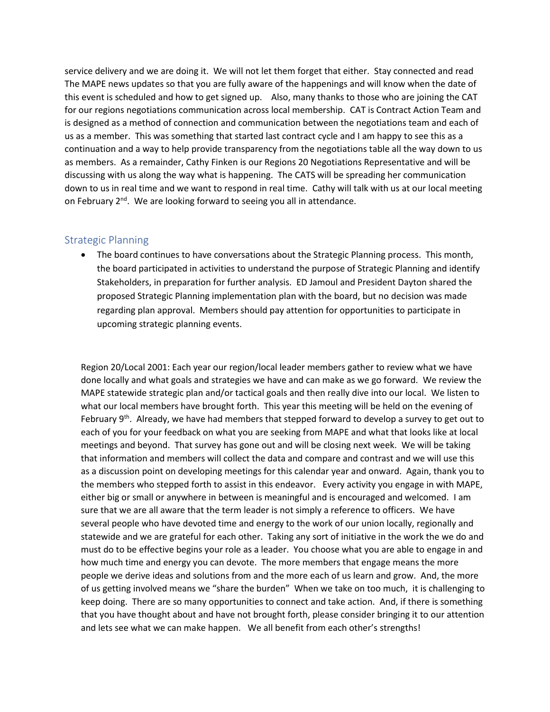service delivery and we are doing it. We will not let them forget that either. Stay connected and read The MAPE news updates so that you are fully aware of the happenings and will know when the date of this event is scheduled and how to get signed up. Also, many thanks to those who are joining the CAT for our regions negotiations communication across local membership. CAT is Contract Action Team and is designed as a method of connection and communication between the negotiations team and each of us as a member. This was something that started last contract cycle and I am happy to see this as a continuation and a way to help provide transparency from the negotiations table all the way down to us as members. As a remainder, Cathy Finken is our Regions 20 Negotiations Representative and will be discussing with us along the way what is happening. The CATS will be spreading her communication down to us in real time and we want to respond in real time. Cathy will talk with us at our local meeting on February 2<sup>nd</sup>. We are looking forward to seeing you all in attendance.

### Strategic Planning

• The board continues to have conversations about the Strategic Planning process. This month, the board participated in activities to understand the purpose of Strategic Planning and identify Stakeholders, in preparation for further analysis. ED Jamoul and President Dayton shared the proposed Strategic Planning implementation plan with the board, but no decision was made regarding plan approval. Members should pay attention for opportunities to participate in upcoming strategic planning events.

Region 20/Local 2001: Each year our region/local leader members gather to review what we have done locally and what goals and strategies we have and can make as we go forward. We review the MAPE statewide strategic plan and/or tactical goals and then really dive into our local. We listen to what our local members have brought forth. This year this meeting will be held on the evening of February 9<sup>th</sup>. Already, we have had members that stepped forward to develop a survey to get out to each of you for your feedback on what you are seeking from MAPE and what that looks like at local meetings and beyond. That survey has gone out and will be closing next week. We will be taking that information and members will collect the data and compare and contrast and we will use this as a discussion point on developing meetings for this calendar year and onward. Again, thank you to the members who stepped forth to assist in this endeavor. Every activity you engage in with MAPE, either big or small or anywhere in between is meaningful and is encouraged and welcomed. I am sure that we are all aware that the term leader is not simply a reference to officers. We have several people who have devoted time and energy to the work of our union locally, regionally and statewide and we are grateful for each other. Taking any sort of initiative in the work the we do and must do to be effective begins your role as a leader. You choose what you are able to engage in and how much time and energy you can devote. The more members that engage means the more people we derive ideas and solutions from and the more each of us learn and grow. And, the more of us getting involved means we "share the burden" When we take on too much, it is challenging to keep doing. There are so many opportunities to connect and take action. And, if there is something that you have thought about and have not brought forth, please consider bringing it to our attention and lets see what we can make happen. We all benefit from each other's strengths!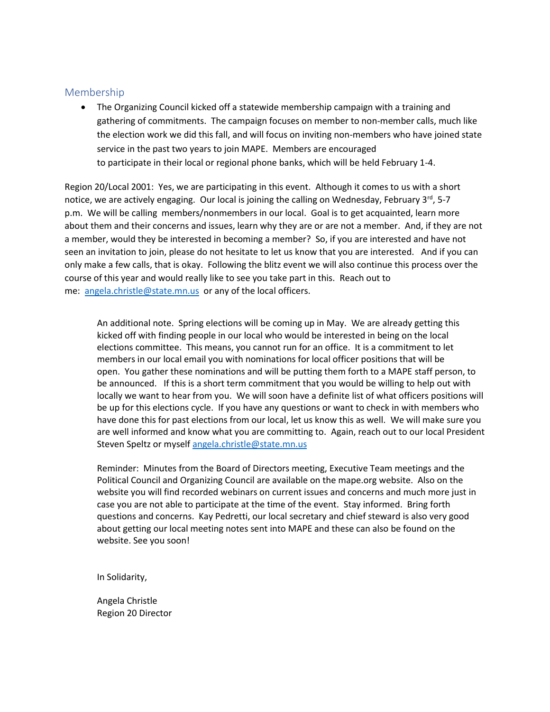### Membership

• The Organizing Council kicked off a statewide membership campaign with a training and gathering of commitments. The campaign focuses on member to non-member calls, much like the election work we did this fall, and will focus on inviting non-members who have joined state service in the past two years to join MAPE. Members are encouraged to participate in their local or regional phone banks, which will be held February 1-4.

Region 20/Local 2001: Yes, we are participating in this event. Although it comes to us with a short notice, we are actively engaging. Our local is joining the calling on Wednesday, February  $3^{rd}$ , 5-7 p.m. We will be calling members/nonmembers in our local. Goal is to get acquainted, learn more about them and their concerns and issues, learn why they are or are not a member. And, if they are not a member, would they be interested in becoming a member? So, if you are interested and have not seen an invitation to join, please do not hesitate to let us know that you are interested. And if you can only make a few calls, that is okay. Following the blitz event we will also continue this process over the course of this year and would really like to see you take part in this. Reach out to me: [angela.christle@state.mn.us](mailto:angela.christle@state.mn.us) or any of the local officers.

An additional note. Spring elections will be coming up in May. We are already getting this kicked off with finding people in our local who would be interested in being on the local elections committee. This means, you cannot run for an office. It is a commitment to let members in our local email you with nominations for local officer positions that will be open. You gather these nominations and will be putting them forth to a MAPE staff person, to be announced. If this is a short term commitment that you would be willing to help out with locally we want to hear from you. We will soon have a definite list of what officers positions will be up for this elections cycle. If you have any questions or want to check in with members who have done this for past elections from our local, let us know this as well. We will make sure you are well informed and know what you are committing to. Again, reach out to our local President Steven Speltz or myself [angela.christle@state.mn.us](mailto:angela.christle@state.mn.us)

Reminder: Minutes from the Board of Directors meeting, Executive Team meetings and the Political Council and Organizing Council are available on the mape.org website. Also on the website you will find recorded webinars on current issues and concerns and much more just in case you are not able to participate at the time of the event. Stay informed. Bring forth questions and concerns. Kay Pedretti, our local secretary and chief steward is also very good about getting our local meeting notes sent into MAPE and these can also be found on the website. See you soon!

In Solidarity,

Angela Christle Region 20 Director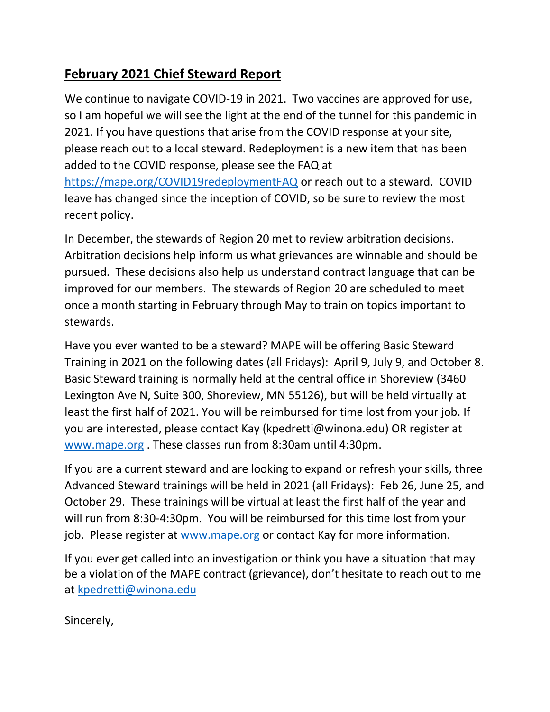## **February 2021 Chief Steward Report**

We continue to navigate COVID-19 in 2021. Two vaccines are approved for use, so I am hopeful we will see the light at the end of the tunnel for this pandemic in 2021. If you have questions that arise from the COVID response at your site, please reach out to a local steward. Redeployment is a new item that has been added to the COVID response, please see the FAQ at <https://mape.org/COVID19redeploymentFAQ> or reach out to a steward. COVID leave has changed since the inception of COVID, so be sure to review the most recent policy.

In December, the stewards of Region 20 met to review arbitration decisions. Arbitration decisions help inform us what grievances are winnable and should be pursued. These decisions also help us understand contract language that can be improved for our members. The stewards of Region 20 are scheduled to meet once a month starting in February through May to train on topics important to stewards.

Have you ever wanted to be a steward? MAPE will be offering Basic Steward Training in 2021 on the following dates (all Fridays): April 9, July 9, and October 8. Basic Steward training is normally held at the central office in Shoreview (3460 Lexington Ave N, Suite 300, Shoreview, MN 55126), but will be held virtually at least the first half of 2021. You will be reimbursed for time lost from your job. If you are interested, please contact Kay (kpedretti@winona.edu) OR register at [www.mape.org](http://www.mape.org/) . These classes run from 8:30am until 4:30pm.

If you are a current steward and are looking to expand or refresh your skills, three Advanced Steward trainings will be held in 2021 (all Fridays): Feb 26, June 25, and October 29. These trainings will be virtual at least the first half of the year and will run from 8:30-4:30pm. You will be reimbursed for this time lost from your job. Please register at [www.mape.org](http://www.mape.org/) or contact Kay for more information.

If you ever get called into an investigation or think you have a situation that may be a violation of the MAPE contract (grievance), don't hesitate to reach out to me at [kpedretti@winona.edu](mailto:kpedretti@winona.edu)

Sincerely,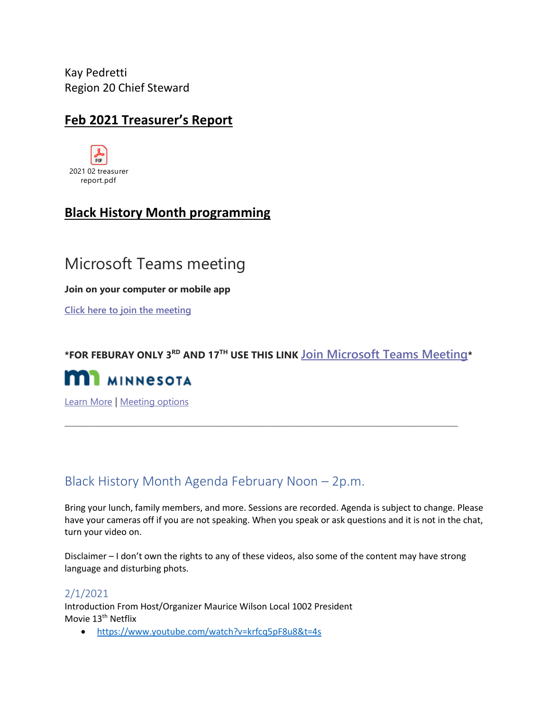Kay Pedretti Region 20 Chief Steward

### **Feb 2021 Treasurer's Report**



## **Black History Month programming**

## Microsoft Teams meeting

**Join on your computer or mobile app**

**[Click here to join the meeting](https://gcc01.safelinks.protection.outlook.com/ap/t-59584e83/?url=https%3A%2F%2Fteams.microsoft.com%2Fl%2Fmeetup-join%2F19%253ameeting_YWQ5M2IxY2QtMTM5OC00NjU1LWFmOGMtOTc0NGE4NDk5MzRk%2540thread.v2%2F0%3Fcontext%3D%257b%2522Tid%2522%253a%2522eb14b046-24c4-4519-8f26-b89c2159828c%2522%252c%2522Oid%2522%253a%2522d620986a-b11c-46a1-93ac-200eb9ea2d1e%2522%257d&data=04%7C01%7Csteven.speltz%40state.mn.us%7Cdaafc46ef0964845a10d08d8c7a560ae%7Ceb14b04624c445198f26b89c2159828c%7C0%7C0%7C637478863088837287%7CUnknown%7CTWFpbGZsb3d8eyJWIjoiMC4wLjAwMDAiLCJQIjoiV2luMzIiLCJBTiI6Ik1haWwiLCJXVCI6Mn0%3D%7C1000&sdata=rowkxEitunQbuXWM9QGhGa0ze7iZGlrapXliwpTmNcI%3D&reserved=0)**

**\*FOR FEBURAY ONLY 3RD AND 17TH USE THIS LINK [Join Microsoft Teams Meeting](https://gcc01.safelinks.protection.outlook.com/ap/t-59584e83/?url=https%3A%2F%2Fteams.microsoft.com%2Fl%2Fmeetup-join%2F19%253ameeting_YzAxMGQ0NjYtZmQ1ZC00ZjYyLWFlZGQtMWRhNGFmZTRmMjll%2540thread.v2%2F0%3Fcontext%3D%257b%2522Tid%2522%253a%2522eb14b046-24c4-4519-8f26-b89c2159828c%2522%252c%2522Oid%2522%253a%2522d620986a-b11c-46a1-93ac-200eb9ea2d1e%2522%257d&data=04%7C01%7Csteven.speltz%40state.mn.us%7Cdaafc46ef0964845a10d08d8c7a560ae%7Ceb14b04624c445198f26b89c2159828c%7C0%7C0%7C637478863088837287%7CUnknown%7CTWFpbGZsb3d8eyJWIjoiMC4wLjAwMDAiLCJQIjoiV2luMzIiLCJBTiI6Ik1haWwiLCJXVCI6Mn0%3D%7C1000&sdata=szCBG6SVWQtxa6kGzfYRRkra%2FX0IlhpMiqdaFa69yVo%3D&reserved=0)\***

\_\_\_\_\_\_\_\_\_\_\_\_\_\_\_\_\_\_\_\_\_\_\_\_\_\_\_\_\_\_\_\_\_\_\_\_\_\_\_\_\_\_\_\_\_\_\_\_\_\_\_\_\_\_\_\_\_\_\_\_\_\_\_\_\_\_\_\_\_\_\_\_\_\_\_\_\_\_\_\_



[Learn More](https://gcc01.safelinks.protection.outlook.com/?url=https%3A%2F%2Faka.ms%2FJoinTeamsMeeting&data=04%7C01%7Csteven.speltz%40state.mn.us%7Cdaafc46ef0964845a10d08d8c7a560ae%7Ceb14b04624c445198f26b89c2159828c%7C0%7C0%7C637478863088847244%7CUnknown%7CTWFpbGZsb3d8eyJWIjoiMC4wLjAwMDAiLCJQIjoiV2luMzIiLCJBTiI6Ik1haWwiLCJXVCI6Mn0%3D%7C1000&sdata=blwP7SKvfQh7eGeD0J22Nh2AbbjilfBKqKNmUwXDq3w%3D&reserved=0) | [Meeting options](https://gcc01.safelinks.protection.outlook.com/?url=https%3A%2F%2Fteams.microsoft.com%2FmeetingOptions%2F%3ForganizerId%3Dd620986a-b11c-46a1-93ac-200eb9ea2d1e%26tenantId%3Deb14b046-24c4-4519-8f26-b89c2159828c%26threadId%3D19_meeting_YWQ5M2IxY2QtMTM5OC00NjU1LWFmOGMtOTc0NGE4NDk5MzRk%40thread.v2%26messageId%3D0%26language%3Den-US&data=04%7C01%7Csteven.speltz%40state.mn.us%7Cdaafc46ef0964845a10d08d8c7a560ae%7Ceb14b04624c445198f26b89c2159828c%7C0%7C0%7C637478863088847244%7CUnknown%7CTWFpbGZsb3d8eyJWIjoiMC4wLjAwMDAiLCJQIjoiV2luMzIiLCJBTiI6Ik1haWwiLCJXVCI6Mn0%3D%7C1000&sdata=6Tp0iAd6XA2jUl3EIWS9qg%2BZhpmdYP7k3dJWROklR%2Bg%3D&reserved=0)

## Black History Month Agenda February Noon – 2p.m.

Bring your lunch, family members, and more. Sessions are recorded. Agenda is subject to change. Please have your cameras off if you are not speaking. When you speak or ask questions and it is not in the chat, turn your video on.

Disclaimer – I don't own the rights to any of these videos, also some of the content may have strong language and disturbing phots.

### 2/1/2021

Introduction From Host/Organizer Maurice Wilson Local 1002 President Movie 13<sup>th</sup> Netflix

• <https://www.youtube.com/watch?v=krfcq5pF8u8&t=4s>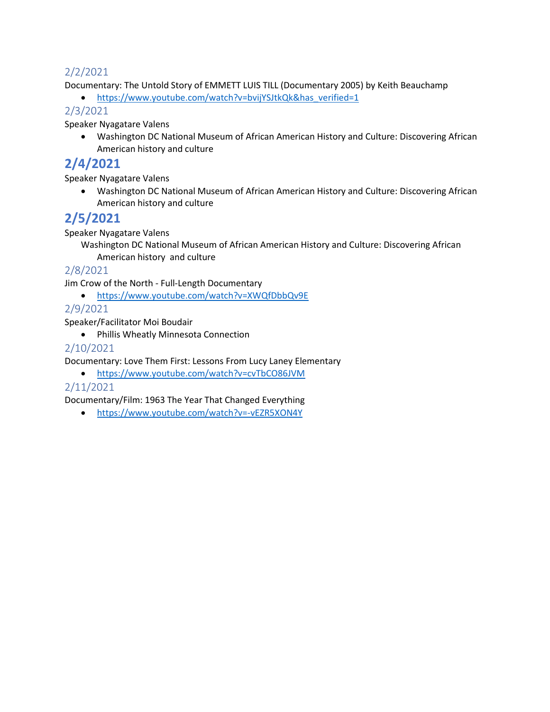### 2/2/2021

Documentary: The Untold Story of EMMETT LUIS TILL (Documentary 2005) by Keith Beauchamp

• [https://www.youtube.com/watch?v=bvijYSJtkQk&has\\_verified=1](https://www.youtube.com/watch?v=bvijYSJtkQk&has_verified=1)

### 2/3/2021

Speaker Nyagatare Valens

• Washington DC National Museum of African American History and Culture: Discovering African American history and culture

### **2/4/2021**

Speaker Nyagatare Valens

• Washington DC National Museum of African American History and Culture: Discovering African American history and culture

## **2/5/2021**

Speaker Nyagatare Valens

Washington DC National Museum of African American History and Culture: Discovering African American history and culture

### 2/8/2021

Jim Crow of the North - Full-Length Documentary

• <https://www.youtube.com/watch?v=XWQfDbbQv9E>

### 2/9/2021

Speaker/Facilitator Moi Boudair

• Phillis Wheatly Minnesota Connection

### 2/10/2021

Documentary: Love Them First: Lessons From Lucy Laney Elementary

• <https://www.youtube.com/watch?v=cvTbCO86JVM>

### 2/11/2021

Documentary/Film: 1963 The Year That Changed Everything

• <https://www.youtube.com/watch?v=-vEZR5XON4Y>